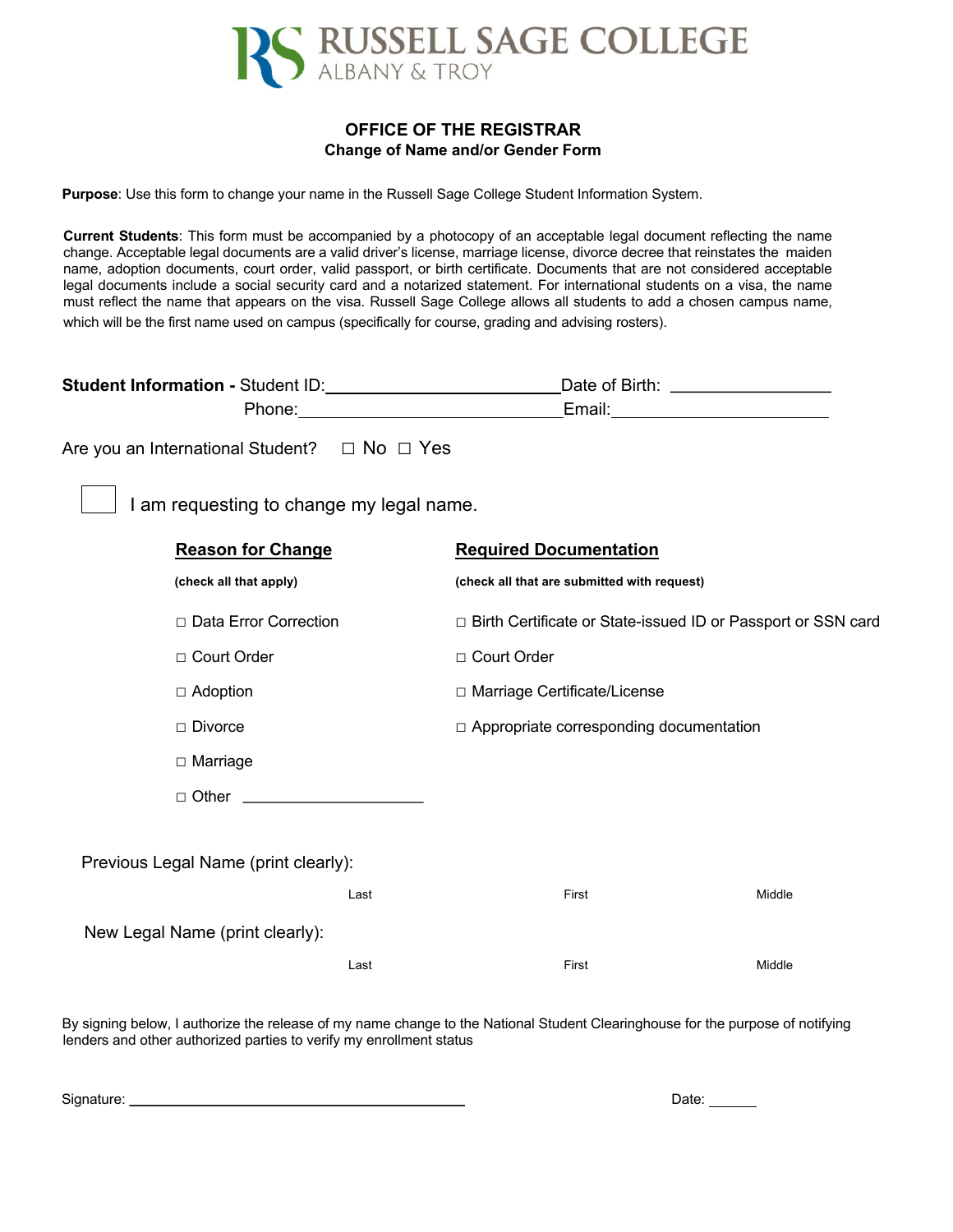

## **OFFICE OF THE REGISTRAR Change of Name and/or Gender Form**

**Purpose**: Use this form to change your name in the Russell Sage College Student Information System.

**Current Students**: This form must be accompanied by a photocopy of an acceptable legal document reflecting the name change. Acceptable legal documents are a valid driver's license, marriage license, divorce decree that reinstates the maiden name, adoption documents, court order, valid passport, or birth certificate. Documents that are not considered acceptable legal documents include a social security card and a notarized statement. For international students on a visa, the name must reflect the name that appears on the visa. Russell Sage College allows all students to add a chosen campus name, which will be the first name used on campus (specifically for course, grading and advising rosters).

| Student Information - Student ID: \\connection - Student ID:                                                                                                                                                                   | Date of Birth: ____________________                            |                                                |  |
|--------------------------------------------------------------------------------------------------------------------------------------------------------------------------------------------------------------------------------|----------------------------------------------------------------|------------------------------------------------|--|
| Phone: The contract of the contract of the contract of the contract of the contract of the contract of the contract of the contract of the contract of the contract of the contract of the contract of the contract of the con | Email: _____________________________                           |                                                |  |
| Are you an International Student?  □ No □ Yes                                                                                                                                                                                  |                                                                |                                                |  |
| I am requesting to change my legal name.                                                                                                                                                                                       |                                                                |                                                |  |
| <b>Reason for Change</b>                                                                                                                                                                                                       | <b>Required Documentation</b>                                  |                                                |  |
| (check all that apply)                                                                                                                                                                                                         | (check all that are submitted with request)                    |                                                |  |
| □ Data Error Correction                                                                                                                                                                                                        | □ Birth Certificate or State-issued ID or Passport or SSN card |                                                |  |
| □ Court Order                                                                                                                                                                                                                  | □ Court Order                                                  |                                                |  |
| $\Box$ Adoption                                                                                                                                                                                                                | □ Marriage Certificate/License                                 |                                                |  |
| $\Box$ Divorce                                                                                                                                                                                                                 |                                                                | $\Box$ Appropriate corresponding documentation |  |
| $\Box$ Marriage                                                                                                                                                                                                                |                                                                |                                                |  |
| □ Other <u>______________________</u>                                                                                                                                                                                          |                                                                |                                                |  |
|                                                                                                                                                                                                                                |                                                                |                                                |  |
| Previous Legal Name (print clearly):                                                                                                                                                                                           |                                                                |                                                |  |
| Last                                                                                                                                                                                                                           | First                                                          | Middle                                         |  |
| New Legal Name (print clearly):                                                                                                                                                                                                |                                                                |                                                |  |
| Last                                                                                                                                                                                                                           | First                                                          | Middle                                         |  |
|                                                                                                                                                                                                                                |                                                                |                                                |  |

By signing below, I authorize the release of my name change to the National Student Clearinghouse for the purpose of notifying lenders and other authorized parties to verify my enrollment status

| Signature: | Date: |
|------------|-------|
|            |       |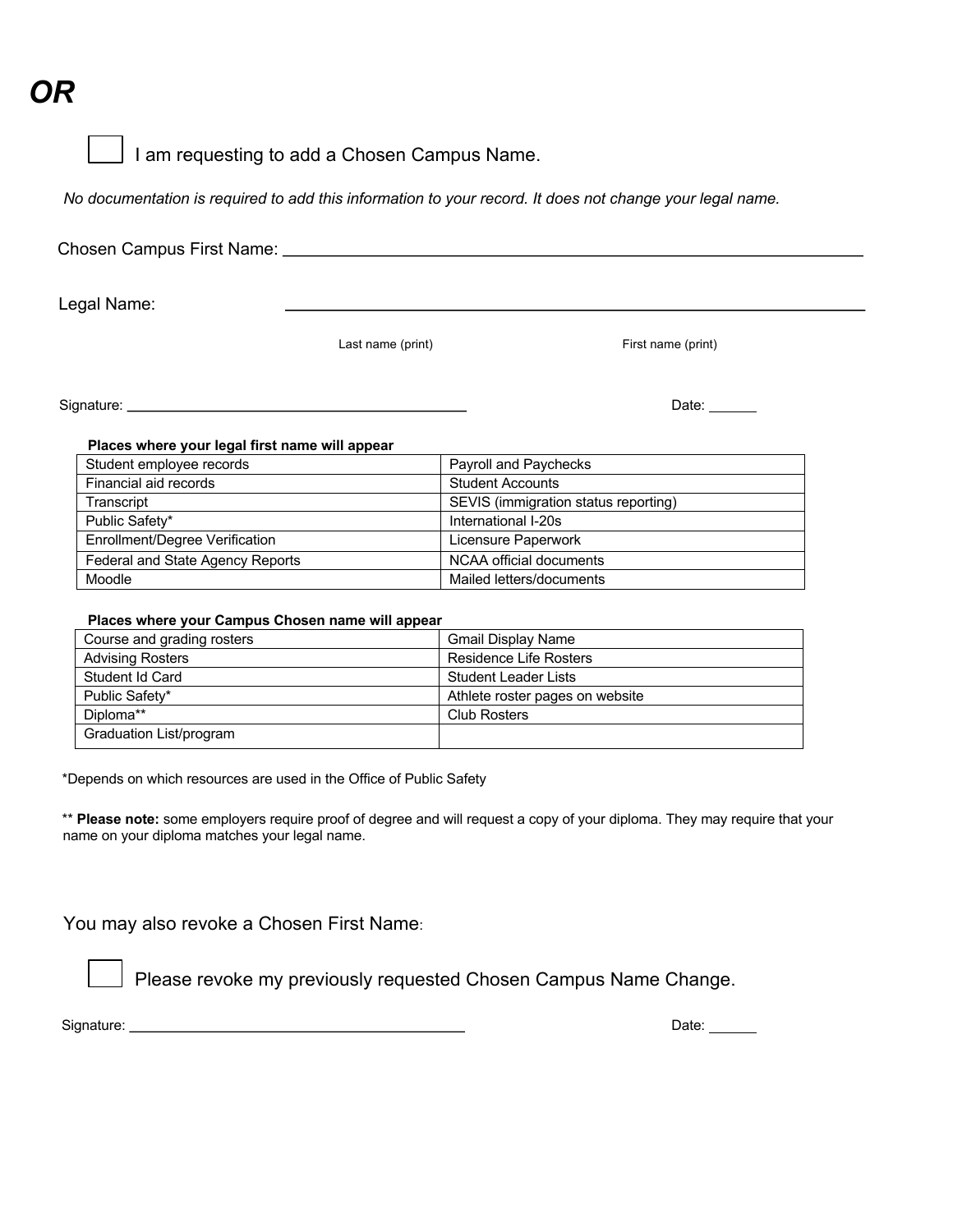## *OR*

I am requesting to add a Chosen Campus Name.

*No documentation is required to add this information to your record. It does not change your legal name.* 

| Chosen Campus First Name: _______              |                   |                                                                                                                                                                                                                                                                                                                                                                                                               |  |
|------------------------------------------------|-------------------|---------------------------------------------------------------------------------------------------------------------------------------------------------------------------------------------------------------------------------------------------------------------------------------------------------------------------------------------------------------------------------------------------------------|--|
| Legal Name:                                    |                   |                                                                                                                                                                                                                                                                                                                                                                                                               |  |
|                                                | Last name (print) | First name (print)                                                                                                                                                                                                                                                                                                                                                                                            |  |
|                                                |                   | Date: $\frac{1}{\sqrt{1-\frac{1}{2}}\sqrt{1-\frac{1}{2}}\sqrt{1-\frac{1}{2}}\sqrt{1-\frac{1}{2}}\sqrt{1-\frac{1}{2}}\sqrt{1-\frac{1}{2}}\sqrt{1-\frac{1}{2}}\sqrt{1-\frac{1}{2}}\sqrt{1-\frac{1}{2}}\sqrt{1-\frac{1}{2}}\sqrt{1-\frac{1}{2}}\sqrt{1-\frac{1}{2}}\sqrt{1-\frac{1}{2}}\sqrt{1-\frac{1}{2}}\sqrt{1-\frac{1}{2}}\sqrt{1-\frac{1}{2}}\sqrt{1-\frac{1}{2}}\sqrt{1-\frac{1}{2}}\sqrt{1-\frac{1}{2}}$ |  |
| Places where your legal first name will appear |                   |                                                                                                                                                                                                                                                                                                                                                                                                               |  |
| Student employee records                       |                   | Payroll and Paychecks                                                                                                                                                                                                                                                                                                                                                                                         |  |
| Financial aid records                          |                   | <b>Student Accounts</b>                                                                                                                                                                                                                                                                                                                                                                                       |  |
| Transcript                                     |                   | SEVIS (immigration status reporting)                                                                                                                                                                                                                                                                                                                                                                          |  |
| Public Safety*                                 |                   | International I-20s                                                                                                                                                                                                                                                                                                                                                                                           |  |
| Enrollment/Degree Verification                 |                   | Licensure Paperwork                                                                                                                                                                                                                                                                                                                                                                                           |  |

## **Places where your Campus Chosen name will appear**

Federal and State Agency Reports | NCAA official documents Moodle **Moodle** Mailed letters/documents

| Course and grading rosters | <b>Gmail Display Name</b>       |
|----------------------------|---------------------------------|
| <b>Advising Rosters</b>    | <b>Residence Life Rosters</b>   |
| Student Id Card            | Student Leader Lists            |
| Public Safety*             | Athlete roster pages on website |
| Diploma**                  | <b>Club Rosters</b>             |
| Graduation List/program    |                                 |

\*Depends on which resources are used in the Office of Public Safety

\*\* **Please note:** some employers require proof of degree and will request a copy of your diploma. They may require that your name on your diploma matches your legal name.

You may also revoke a Chosen First Name:

Please revoke my previously requested Chosen Campus Name Change.

Signature: <u>New York: Date: Date: Date: Date: Date: Date: Date: Date: Date: Date: Date: Date: Date: Date: Date: Date: Date: Date: Date: Date: Date: Date: Date: Date: Date: Date: Date: Date: Date: Date: Date: Date: Date: Da</u>